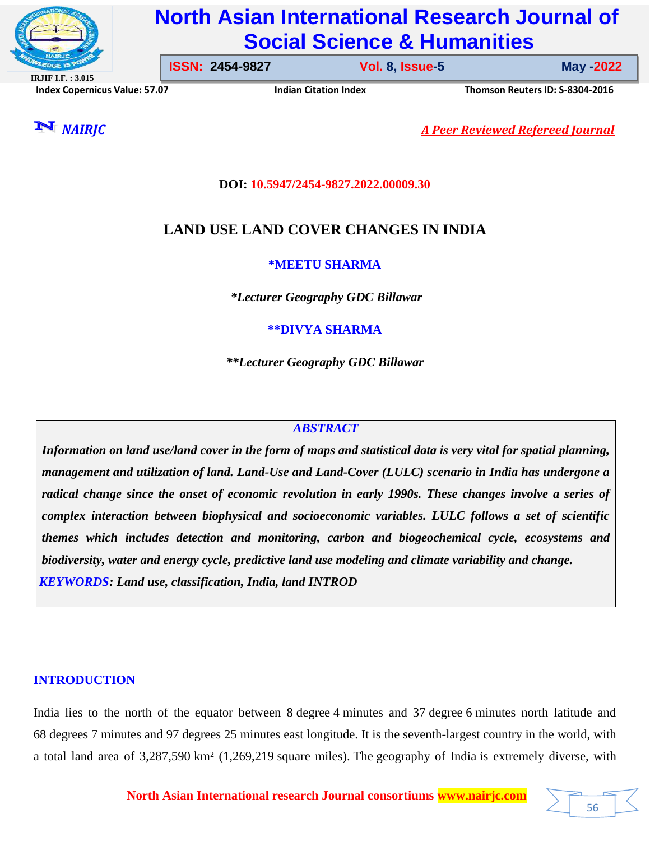

# **North Asian International Research Journal of Social Science & Humanities**

**IRJIF I.F. : 3.015 Index Copernicus Value: 57.07****Indian Citation Index****Thomson Reuters ID: S-8304-2016** 

**ISSN: 2454-9827 Vol. 8, Issue-5** 

**Issue-5 May -2022**

56

*NAIRJC A Peer Reviewed Refereed Journal*

**DOI: 10.5947/2454-9827.2022.00009.30**

## **LAND USE LAND COVER CHANGES IN INDIA**

**\*MEETU SHARMA**

*\*Lecturer Geography GDC Billawar*

**\*\*DIVYA SHARMA**

*\*\*Lecturer Geography GDC Billawar*

## *ABSTRACT*

*Information on land use/land cover in the form of maps and statistical data is very vital for spatial planning, management and utilization of land. Land-Use and Land-Cover (LULC) scenario in India has undergone a radical change since the onset of economic revolution in early 1990s. These changes involve a series of complex interaction between biophysical and socioeconomic variables. LULC follows a set of scientific themes which includes detection and monitoring, carbon and biogeochemical cycle, ecosystems and biodiversity, water and energy cycle, predictive land use modeling and climate variability and change. KEYWORDS: Land use, classification, India, land INTROD*

## **INTRODUCTION**

India lies to the north of the equator between 8 degree 4 minutes and 37 degree 6 minutes north latitude and 68 degrees 7 minutes and 97 degrees 25 minutes east longitude. It is the seventh-largest country in the world, with a total land area of 3,287,590 km² (1,269,219 square miles). The geography of India is extremely diverse, with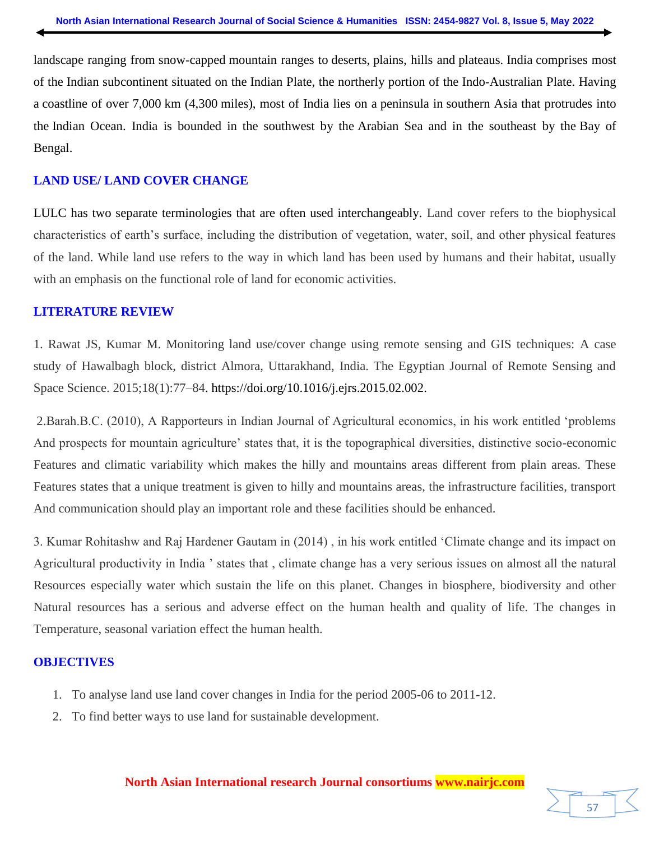landscape ranging from snow-capped mountain ranges to deserts, plains, hills and plateaus. India comprises most of the Indian subcontinent situated on the Indian Plate, the northerly portion of the Indo-Australian Plate. Having a coastline of over 7,000 km (4,300 miles), most of India lies on a peninsula in southern Asia that protrudes into the Indian Ocean. India is bounded in the southwest by the Arabian Sea and in the southeast by the Bay of Bengal.

## **LAND USE/ LAND COVER CHANGE**

LULC has two separate terminologies that are often used interchangeably. Land cover refers to the biophysical characteristics of earth"s surface, including the distribution of vegetation, water, soil, and other physical features of the land. While land use refers to the way in which land has been used by humans and their habitat, usually with an emphasis on the functional role of land for economic activities.

## **LITERATURE REVIEW**

1. Rawat JS, Kumar M. Monitoring land use/cover change using remote sensing and GIS techniques: A case study of Hawalbagh block, district Almora, Uttarakhand, India. The Egyptian Journal of Remote Sensing and Space Science. 2015;18(1):77–84. https://doi.org/10.1016/j.ejrs.2015.02.002.

2.Barah.B.C. (2010), A Rapporteurs in Indian Journal of Agricultural economics, in his work entitled "problems And prospects for mountain agriculture" states that, it is the topographical diversities, distinctive socio-economic Features and climatic variability which makes the hilly and mountains areas different from plain areas. These Features states that a unique treatment is given to hilly and mountains areas, the infrastructure facilities, transport And communication should play an important role and these facilities should be enhanced.

3. Kumar Rohitashw and Raj Hardener Gautam in (2014) , in his work entitled "Climate change and its impact on Agricultural productivity in India " states that , climate change has a very serious issues on almost all the natural Resources especially water which sustain the life on this planet. Changes in biosphere, biodiversity and other Natural resources has a serious and adverse effect on the human health and quality of life. The changes in Temperature, seasonal variation effect the human health.

## **OBJECTIVES**

- 1. To analyse land use land cover changes in India for the period 2005-06 to 2011-12.
- 2. To find better ways to use land for sustainable development.

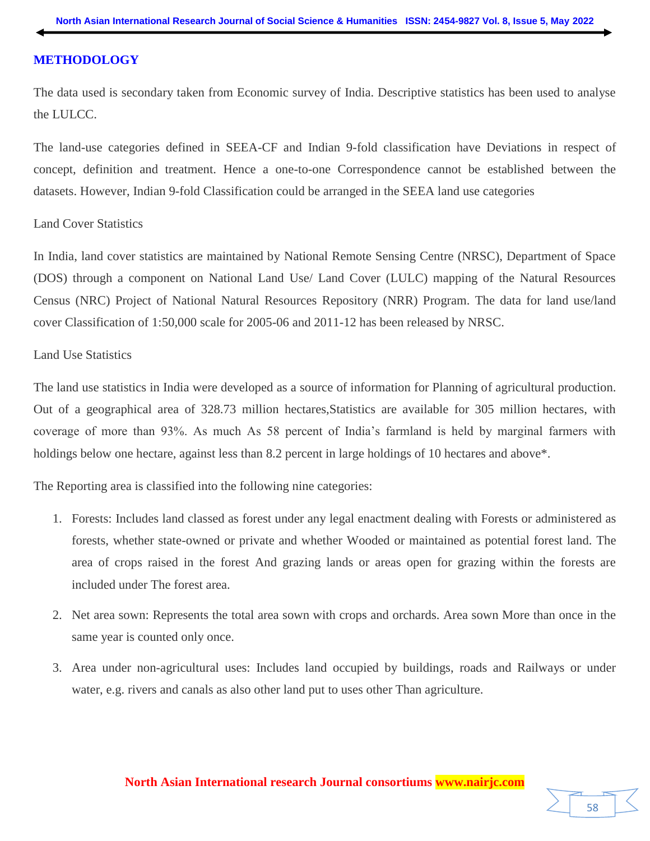## **METHODOLOGY**

The data used is secondary taken from Economic survey of India. Descriptive statistics has been used to analyse the LULCC.

The land-use categories defined in SEEA-CF and Indian 9-fold classification have Deviations in respect of concept, definition and treatment. Hence a one-to-one Correspondence cannot be established between the datasets. However, Indian 9-fold Classification could be arranged in the SEEA land use categories

#### Land Cover Statistics

In India, land cover statistics are maintained by National Remote Sensing Centre (NRSC), Department of Space (DOS) through a component on National Land Use/ Land Cover (LULC) mapping of the Natural Resources Census (NRC) Project of National Natural Resources Repository (NRR) Program. The data for land use/land cover Classification of 1:50,000 scale for 2005-06 and 2011-12 has been released by NRSC.

#### Land Use Statistics

The land use statistics in India were developed as a source of information for Planning of agricultural production. Out of a geographical area of 328.73 million hectares,Statistics are available for 305 million hectares, with coverage of more than 93%. As much As 58 percent of India"s farmland is held by marginal farmers with holdings below one hectare, against less than 8.2 percent in large holdings of 10 hectares and above\*.

The Reporting area is classified into the following nine categories:

- 1. Forests: Includes land classed as forest under any legal enactment dealing with Forests or administered as forests, whether state-owned or private and whether Wooded or maintained as potential forest land. The area of crops raised in the forest And grazing lands or areas open for grazing within the forests are included under The forest area.
- 2. Net area sown: Represents the total area sown with crops and orchards. Area sown More than once in the same year is counted only once.
- 3. Area under non-agricultural uses: Includes land occupied by buildings, roads and Railways or under water, e.g. rivers and canals as also other land put to uses other Than agriculture.

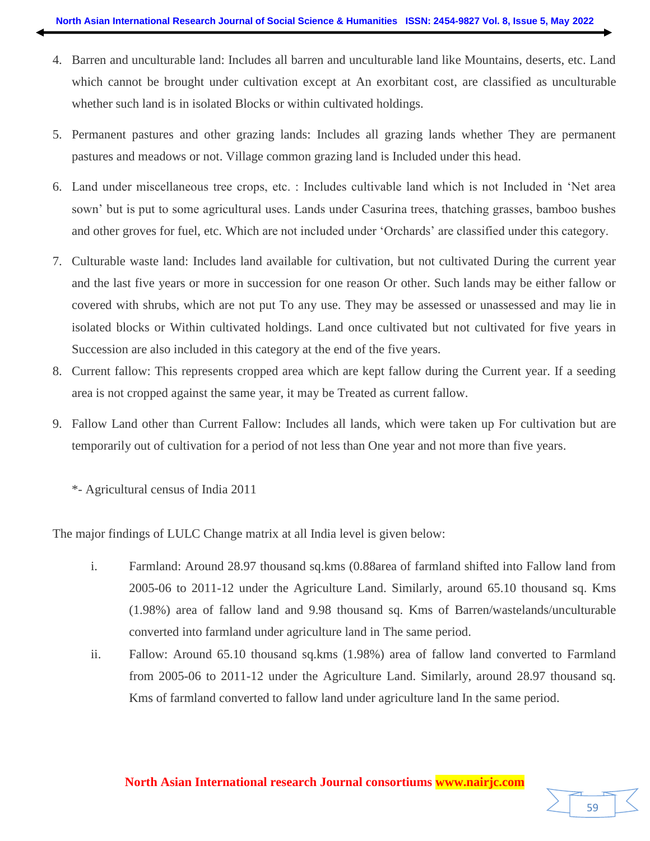- 4. Barren and unculturable land: Includes all barren and unculturable land like Mountains, deserts, etc. Land which cannot be brought under cultivation except at An exorbitant cost, are classified as unculturable whether such land is in isolated Blocks or within cultivated holdings.
- 5. Permanent pastures and other grazing lands: Includes all grazing lands whether They are permanent pastures and meadows or not. Village common grazing land is Included under this head.
- 6. Land under miscellaneous tree crops, etc. : Includes cultivable land which is not Included in "Net area sown" but is put to some agricultural uses. Lands under Casurina trees, thatching grasses, bamboo bushes and other groves for fuel, etc. Which are not included under 'Orchards' are classified under this category.
- 7. Culturable waste land: Includes land available for cultivation, but not cultivated During the current year and the last five years or more in succession for one reason Or other. Such lands may be either fallow or covered with shrubs, which are not put To any use. They may be assessed or unassessed and may lie in isolated blocks or Within cultivated holdings. Land once cultivated but not cultivated for five years in Succession are also included in this category at the end of the five years.
- 8. Current fallow: This represents cropped area which are kept fallow during the Current year. If a seeding area is not cropped against the same year, it may be Treated as current fallow.
- 9. Fallow Land other than Current Fallow: Includes all lands, which were taken up For cultivation but are temporarily out of cultivation for a period of not less than One year and not more than five years.
	- \*- Agricultural census of India 2011

The major findings of LULC Change matrix at all India level is given below:

- i. Farmland: Around 28.97 thousand sq.kms (0.88area of farmland shifted into Fallow land from 2005-06 to 2011-12 under the Agriculture Land. Similarly, around 65.10 thousand sq. Kms (1.98%) area of fallow land and 9.98 thousand sq. Kms of Barren/wastelands/unculturable converted into farmland under agriculture land in The same period.
- ii. Fallow: Around 65.10 thousand sq.kms (1.98%) area of fallow land converted to Farmland from 2005-06 to 2011-12 under the Agriculture Land. Similarly, around 28.97 thousand sq. Kms of farmland converted to fallow land under agriculture land In the same period.

#### **North Asian International research Journal consortiums www.nairjc.com**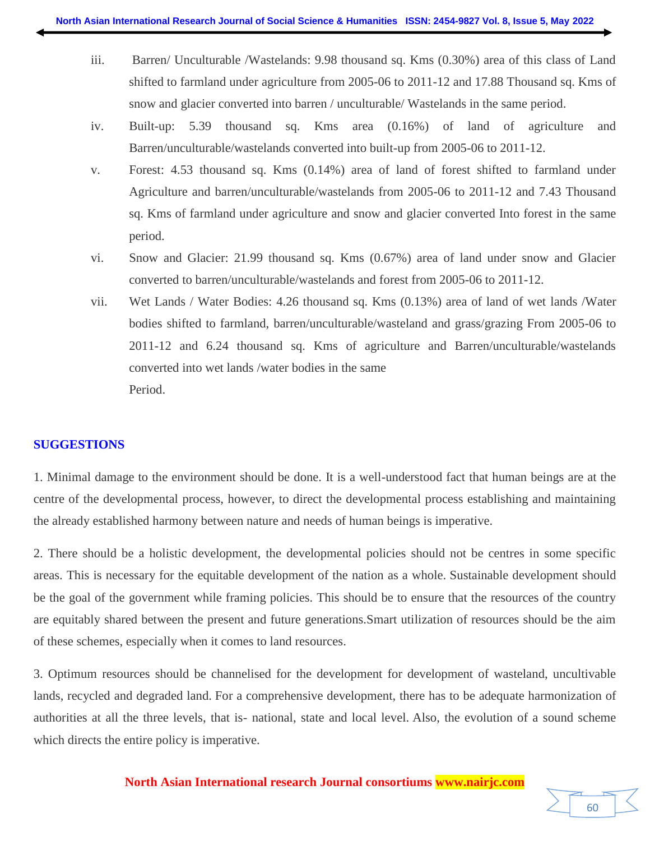- iii. Barren/ Unculturable /Wastelands: 9.98 thousand sq. Kms (0.30%) area of this class of Land shifted to farmland under agriculture from 2005-06 to 2011-12 and 17.88 Thousand sq. Kms of snow and glacier converted into barren / unculturable/ Wastelands in the same period.
- iv. Built-up: 5.39 thousand sq. Kms area (0.16%) of land of agriculture and Barren/unculturable/wastelands converted into built-up from 2005-06 to 2011-12.
- v. Forest: 4.53 thousand sq. Kms (0.14%) area of land of forest shifted to farmland under Agriculture and barren/unculturable/wastelands from 2005-06 to 2011-12 and 7.43 Thousand sq. Kms of farmland under agriculture and snow and glacier converted Into forest in the same period.
- vi. Snow and Glacier: 21.99 thousand sq. Kms (0.67%) area of land under snow and Glacier converted to barren/unculturable/wastelands and forest from 2005-06 to 2011-12.
- vii. Wet Lands / Water Bodies: 4.26 thousand sq. Kms (0.13%) area of land of wet lands /Water bodies shifted to farmland, barren/unculturable/wasteland and grass/grazing From 2005-06 to 2011-12 and 6.24 thousand sq. Kms of agriculture and Barren/unculturable/wastelands converted into wet lands /water bodies in the same Period.

## **SUGGESTIONS**

1. Minimal damage to the environment should be done. It is a well-understood fact that human beings are at the centre of the developmental process, however, to direct the developmental process establishing and maintaining the already established harmony between nature and needs of human beings is imperative.

2. There should be a holistic development, the developmental policies should not be centres in some specific areas. This is necessary for the equitable development of the nation as a whole. Sustainable development should be the goal of the government while framing policies. This should be to ensure that the resources of the country are equitably shared between the present and future generations.Smart utilization of resources should be the aim of these schemes, especially when it comes to land resources.

3. Optimum resources should be channelised for the development for development of wasteland, uncultivable lands, recycled and degraded land. For a comprehensive development, there has to be adequate harmonization of authorities at all the three levels, that is- national, state and local level. Also, the evolution of a sound scheme which directs the entire policy is imperative.

#### **North Asian International research Journal consortiums www.nairjc.com**